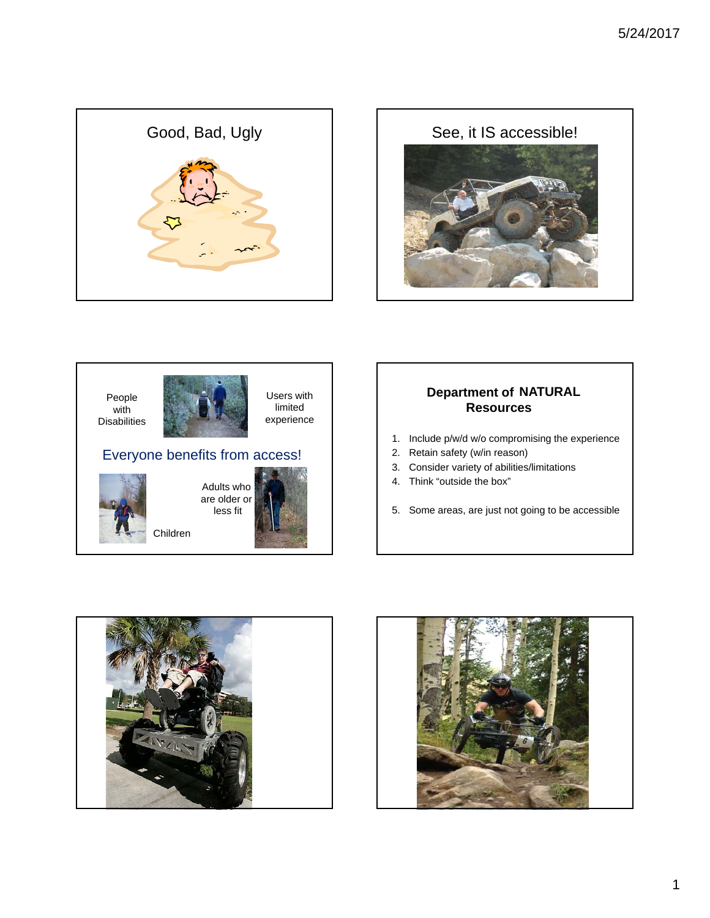





less fit

Children



#### **Department of NATURALResources**

- 1. Include p/w/d w/o compromising the experience
- 2. Retain safety (w/in reason)
- 3. Consider variety of abilities/limitations
- 4. Think "outside the box"

5. Some areas, are just not going to be accessible



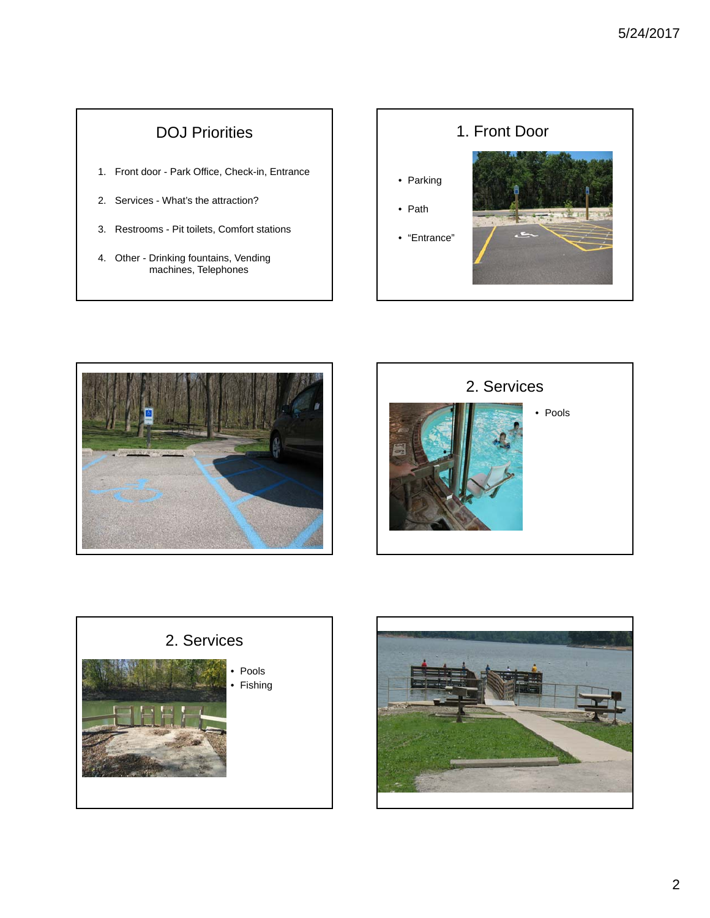## DOJ Priorities

- 1. Front door Park Office, Check-in, Entrance
- 2. Services What's the attraction?
- 3. Restrooms Pit toilets, Comfort stations
- 4. Other Drinking fountains, Vending machines, Telephones









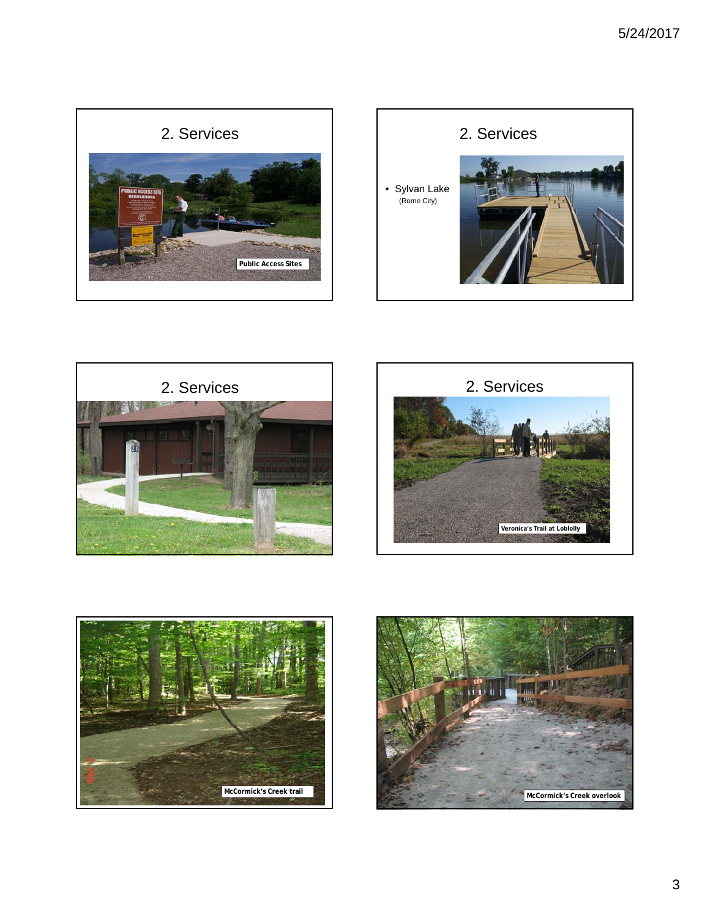









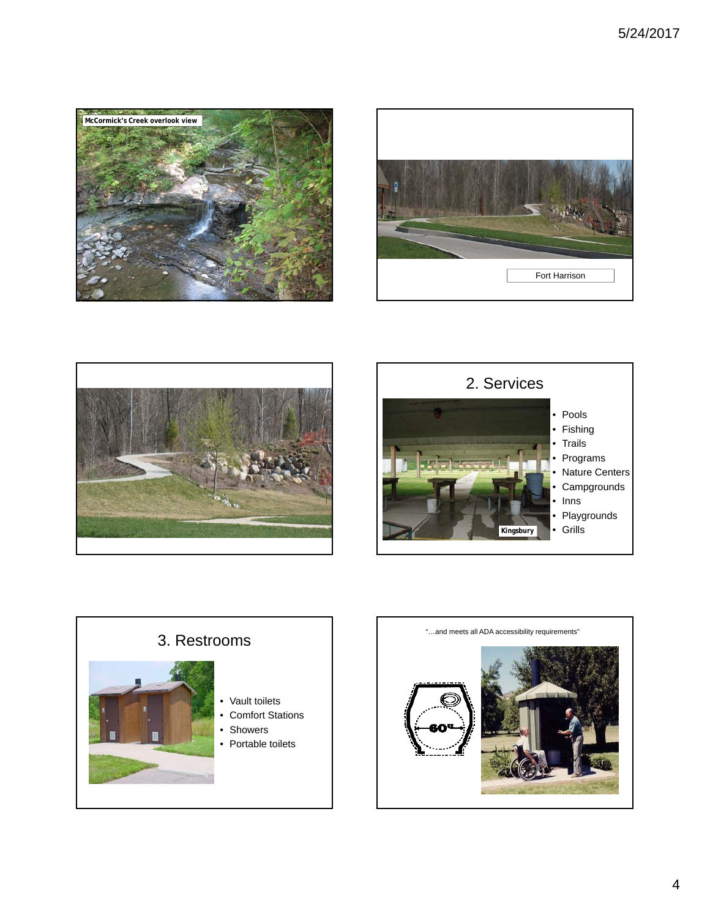









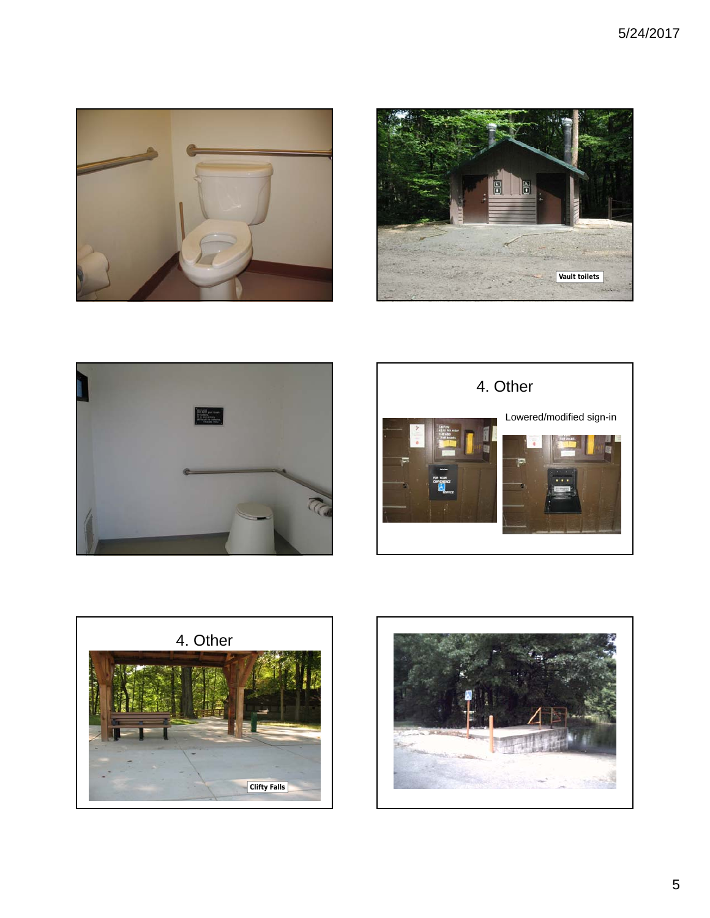









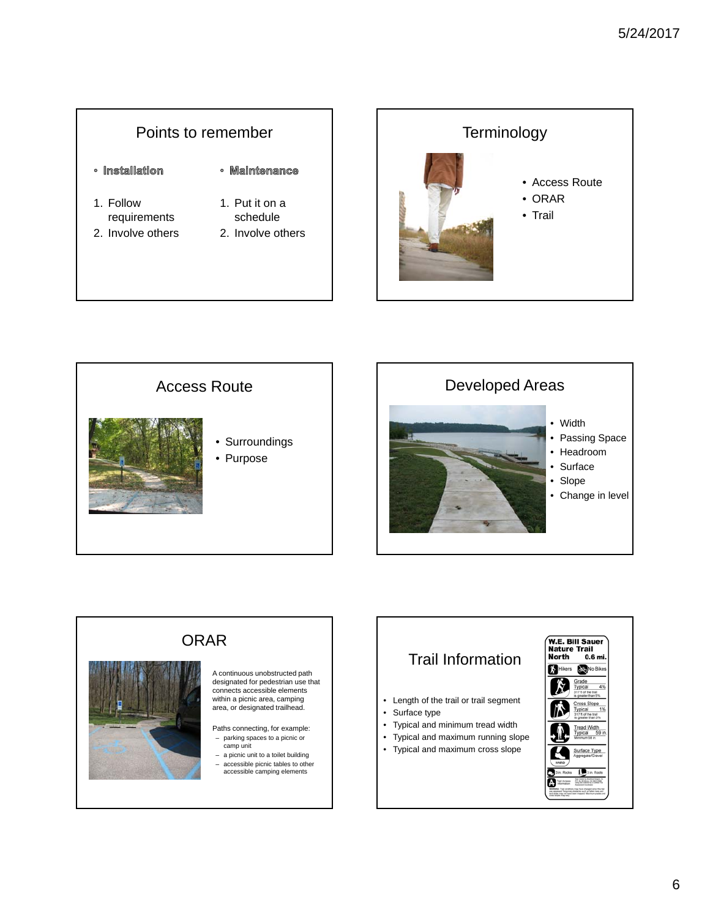#### Points to remember · Installation · Maintenance 1. Put it on a 1. Follow requirements schedule



2. Involve others







# ORAR

A continuous unobstructed path designated for pedestrian use that connects accessible elements within a picnic area, camping area, or designated trailhead.

Paths connecting, for example:

- parking spaces to a picnic or camp unit – a picnic unit to a toilet building
- accessible picnic tables to other accessible camping elements

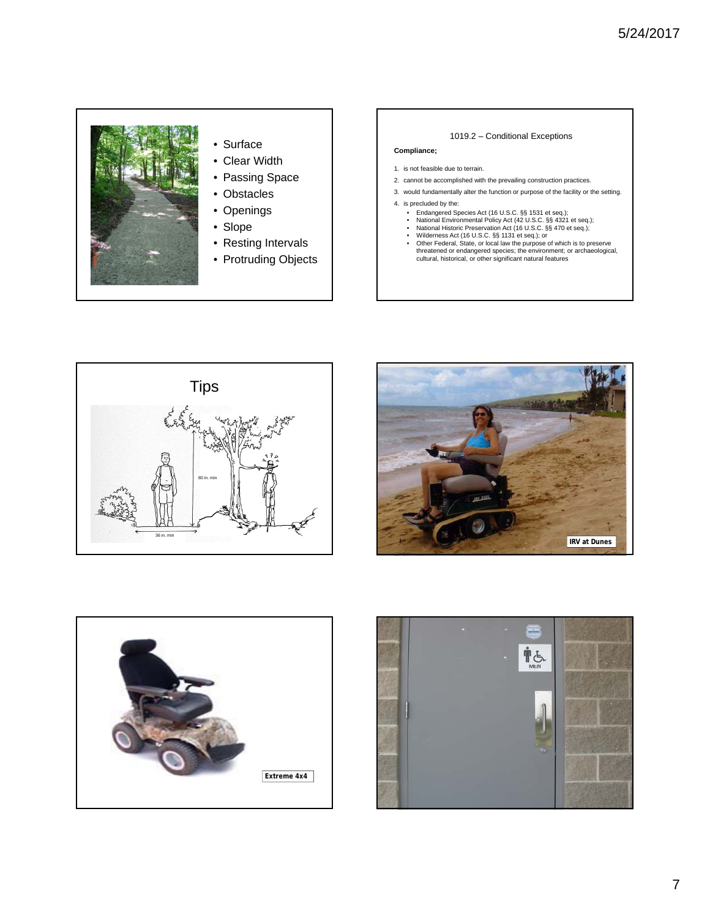

- Surface
- Clear Width
- Passing Space
- Obstacles
- Openings
	-
- Resting Intervals
- Protruding Objects
- 1019.2 Conditional Exceptions
- **Compliance;**
- 1. is not feasible due to terrain.
- 2. cannot be accomplished with the prevailing construction practices.
- 3. would fundamentally alter the function or purpose of the facility or the setting.
- 4. is precluded by the:
	-
	-
	-
	- Endangered Species Act (16 U.S.C. §§ 1531 et seq.);<br>• National Environmental Policy Act (42 U.S.C. §§ 4321 et seq.);<br>• National Historic Preservation Act (16 U.S.C. §§ 4720 et seq.);<br>• Wilderness Act (16 U.S.C. §§ 1131